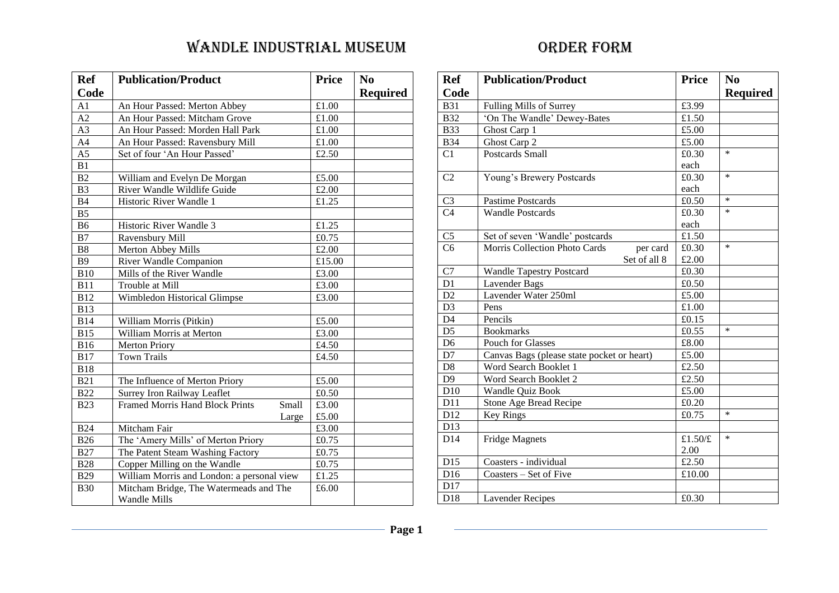| <b>Ref</b>      | <b>Publication/Product</b>                                    | <b>Price</b> | N <sub>0</sub>  |
|-----------------|---------------------------------------------------------------|--------------|-----------------|
| Code            |                                                               |              | <b>Required</b> |
| A1              | An Hour Passed: Merton Abbey                                  | £1.00        |                 |
| $\overline{A2}$ | An Hour Passed: Mitcham Grove                                 | £1.00        |                 |
| A <sub>3</sub>  | An Hour Passed: Morden Hall Park                              | £1.00        |                 |
| A <sub>4</sub>  | An Hour Passed: Ravensbury Mill                               | £1.00        |                 |
| A <sub>5</sub>  | Set of four 'An Hour Passed'                                  | £2.50        |                 |
| B1              |                                                               |              |                 |
| B2              | William and Evelyn De Morgan                                  | £5.00        |                 |
| B <sub>3</sub>  | River Wandle Wildlife Guide                                   | £2.00        |                 |
| <b>B4</b>       | Historic River Wandle 1                                       | £1.25        |                 |
| B <sub>5</sub>  |                                                               |              |                 |
| <b>B6</b>       | Historic River Wandle 3                                       | £1.25        |                 |
| B7              | Ravensbury Mill                                               | £0.75        |                 |
| <b>B8</b>       | Merton Abbey Mills                                            | £2.00        |                 |
| <b>B9</b>       | River Wandle Companion                                        | £15.00       |                 |
| <b>B10</b>      | Mills of the River Wandle                                     | £3.00        |                 |
| <b>B11</b>      | Trouble at Mill                                               | £3.00        |                 |
| <b>B12</b>      | Wimbledon Historical Glimpse                                  | £3.00        |                 |
| <b>B13</b>      |                                                               |              |                 |
| <b>B14</b>      | William Morris (Pitkin)                                       | £5.00        |                 |
| <b>B15</b>      | William Morris at Merton                                      | £3.00        |                 |
| <b>B16</b>      | <b>Merton Priory</b>                                          | £4.50        |                 |
| <b>B17</b>      | <b>Town Trails</b>                                            | £4.50        |                 |
| <b>B18</b>      |                                                               |              |                 |
| <b>B21</b>      | The Influence of Merton Priory                                | £5.00        |                 |
| <b>B22</b>      | Surrey Iron Railway Leaflet                                   | £0.50        |                 |
| <b>B23</b>      | <b>Framed Morris Hand Block Prints</b><br>Small               | £3.00        |                 |
|                 | Large                                                         | £5.00        |                 |
| <b>B24</b>      | Mitcham Fair                                                  | £3.00        |                 |
| <b>B26</b>      | The 'Amery Mills' of Merton Priory                            | £0.75        |                 |
| <b>B27</b>      | The Patent Steam Washing Factory                              | £0.75        |                 |
| <b>B28</b>      | Copper Milling on the Wandle                                  | £0.75        |                 |
| <b>B29</b>      | William Morris and London: a personal view                    | £1.25        |                 |
| <b>B30</b>      | Mitcham Bridge, The Watermeads and The<br><b>Wandle Mills</b> | £6.00        |                 |

| <b>Ref</b>      | <b>Publication/Product</b>                 | <b>Price</b> | N <sub>0</sub>  |
|-----------------|--------------------------------------------|--------------|-----------------|
| Code            |                                            |              | <b>Required</b> |
| <b>B31</b>      | Fulling Mills of Surrey                    | £3.99        |                 |
| <b>B32</b>      | 'On The Wandle' Dewey-Bates                | £1.50        |                 |
| <b>B33</b>      | Ghost Carp 1                               | £5.00        |                 |
| <b>B34</b>      | Ghost Carp 2                               | £5.00        |                 |
| C1              | Postcards Small                            | £0.30        | $\ast$          |
|                 |                                            | each         |                 |
| C <sub>2</sub>  | Young's Brewery Postcards                  | £0.30        | $\ast$          |
|                 |                                            | each         |                 |
| C <sub>3</sub>  | Pastime Postcards                          | £0.50        | $\ast$          |
| C <sub>4</sub>  | <b>Wandle Postcards</b>                    | £0.30        | $\ast$          |
|                 |                                            | each         |                 |
| C <sub>5</sub>  | Set of seven 'Wandle' postcards            | £1.50        |                 |
| C <sub>6</sub>  | Morris Collection Photo Cards<br>per card  | £0.30        | $\ast$          |
|                 | Set of all 8                               | £2.00        |                 |
| C7              | <b>Wandle Tapestry Postcard</b>            | £0.30        |                 |
| D1              | Lavender Bags                              | £0.50        |                 |
| D2              | Lavender Water 250ml                       | £5.00        |                 |
| D <sub>3</sub>  | Pens                                       | £1.00        |                 |
| D4              | Pencils                                    | £0.15        |                 |
| D <sub>5</sub>  | <b>Bookmarks</b>                           | £0.55        | $\ast$          |
| D <sub>6</sub>  | Pouch for Glasses                          | £8.00        |                 |
| D7              | Canvas Bags (please state pocket or heart) | £5.00        |                 |
| $\mathbf{D}8$   | Word Search Booklet 1                      | £2.50        |                 |
| D <sub>9</sub>  | Word Search Booklet 2                      | £2.50        |                 |
| D <sub>10</sub> | Wandle Quiz Book                           | £5.00        |                 |
| D11             | Stone Age Bread Recipe                     | £0.20        |                 |
| D12             | <b>Key Rings</b>                           | £0.75        | $\ast$          |
| D13             |                                            |              |                 |
| D14             | <b>Fridge Magnets</b>                      | £1.50/£      | $\ast$          |
|                 |                                            | 2.00         |                 |
| D15             | Coasters - individual                      | £2.50        |                 |
| D16             | Coasters - Set of Five                     | £10.00       |                 |
| D17             |                                            |              |                 |
| D18             | <b>Lavender Recipes</b>                    | £0.30        |                 |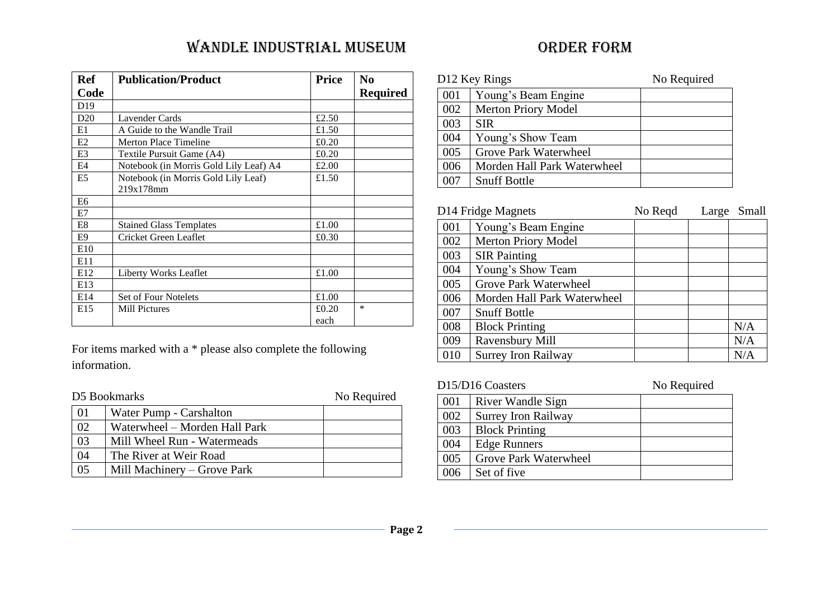| <b>Ref</b>      | <b>Publication/Product</b>             | <b>Price</b> | N <sub>0</sub>  |
|-----------------|----------------------------------------|--------------|-----------------|
| Code            |                                        |              | <b>Required</b> |
| D <sub>19</sub> |                                        |              |                 |
| D20             | Lavender Cards                         | £2.50        |                 |
| E1              | A Guide to the Wandle Trail            | £1.50        |                 |
| E2              | <b>Merton Place Timeline</b>           | £0.20        |                 |
| E <sub>3</sub>  | Textile Pursuit Game (A4)              | £0.20        |                 |
| E4              | Notebook (in Morris Gold Lily Leaf) A4 | £2.00        |                 |
| E <sub>5</sub>  | Notebook (in Morris Gold Lily Leaf)    | £1.50        |                 |
|                 | 219x178mm                              |              |                 |
| E <sub>6</sub>  |                                        |              |                 |
| E7              |                                        |              |                 |
| E <sub>8</sub>  | <b>Stained Glass Templates</b>         | £1.00        |                 |
| E9              | Cricket Green Leaflet                  | £0.30        |                 |
| E10             |                                        |              |                 |
| E11             |                                        |              |                 |
| E12             | Liberty Works Leaflet                  | £1.00        |                 |
| E13             |                                        |              |                 |
| E14             | Set of Four Notelets                   | £1.00        |                 |
| E15             | <b>Mill Pictures</b>                   | £0.20        | $\ast$          |
|                 |                                        | each         |                 |

For items marked with a \* please also complete the following information.

| D5 Bookmarks |                               | No Required |
|--------------|-------------------------------|-------------|
| 01           | Water Pump - Carshalton       |             |
| 02           | Waterwheel – Morden Hall Park |             |
| 03           | Mill Wheel Run - Watermeads   |             |
| 04           | The River at Weir Road        |             |
| 05           | Mill Machinery – Grove Park   |             |

| D12 Key Rings |                             | No Required |
|---------------|-----------------------------|-------------|
| 001           | Young's Beam Engine         |             |
| 002           | <b>Merton Priory Model</b>  |             |
| 003           | <b>SIR</b>                  |             |
| 004           | Young's Show Team           |             |
| 005           | Grove Park Waterwheel       |             |
| 006           | Morden Hall Park Waterwheel |             |
| 007           | <b>Snuff Bottle</b>         |             |

| D14 Fridge Magnets |                             | No Regd | Large | Small |
|--------------------|-----------------------------|---------|-------|-------|
| 001                | Young's Beam Engine         |         |       |       |
| 002                | <b>Merton Priory Model</b>  |         |       |       |
| 003                | <b>SIR Painting</b>         |         |       |       |
| 004                | Young's Show Team           |         |       |       |
| 005                | Grove Park Waterwheel       |         |       |       |
| 006                | Morden Hall Park Waterwheel |         |       |       |
| 007                | <b>Snuff Bottle</b>         |         |       |       |
| 008                | <b>Block Printing</b>       |         |       | N/A   |
| 009                | Ravensbury Mill             |         |       | N/A   |
| 010                | <b>Surrey Iron Railway</b>  |         |       | N/A   |

|     | D <sub>15</sub> /D <sub>16</sub> Coasters | No Required |
|-----|-------------------------------------------|-------------|
| 001 | <b>River Wandle Sign</b>                  |             |
| 002 | <b>Surrey Iron Railway</b>                |             |
| 003 | <b>Block Printing</b>                     |             |
| 004 | <b>Edge Runners</b>                       |             |
| 005 | Grove Park Waterwheel                     |             |
| ററ് | Set of five                               |             |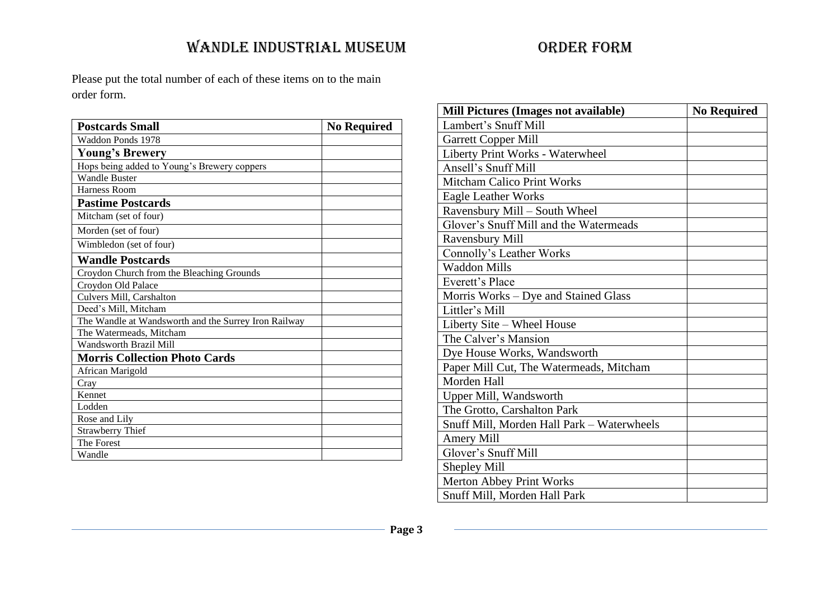Please put the total number of each of these items on to the main order form.

| <b>Postcards Small</b>                               | <b>No Required</b> |
|------------------------------------------------------|--------------------|
| Waddon Ponds 1978                                    |                    |
| Young's Brewery                                      |                    |
| Hops being added to Young's Brewery coppers          |                    |
| <b>Wandle Buster</b>                                 |                    |
| Harness Room                                         |                    |
| <b>Pastime Postcards</b>                             |                    |
| Mitcham (set of four)                                |                    |
| Morden (set of four)                                 |                    |
| Wimbledon (set of four)                              |                    |
| <b>Wandle Postcards</b>                              |                    |
| Croydon Church from the Bleaching Grounds            |                    |
| Croydon Old Palace                                   |                    |
| Culvers Mill, Carshalton                             |                    |
| Deed's Mill, Mitcham                                 |                    |
| The Wandle at Wandsworth and the Surrey Iron Railway |                    |
| The Watermeads, Mitcham                              |                    |
| Wandsworth Brazil Mill                               |                    |
| <b>Morris Collection Photo Cards</b>                 |                    |
| African Marigold                                     |                    |
| Cray                                                 |                    |
| Kennet                                               |                    |
| Lodden                                               |                    |
| Rose and Lily                                        |                    |
| <b>Strawberry Thief</b>                              |                    |
| The Forest                                           |                    |
| Wandle                                               |                    |

| Mill Pictures (Images not available)       | <b>No Required</b> |
|--------------------------------------------|--------------------|
| Lambert's Snuff Mill                       |                    |
| <b>Garrett Copper Mill</b>                 |                    |
| Liberty Print Works - Waterwheel           |                    |
| Ansell's Snuff Mill                        |                    |
| <b>Mitcham Calico Print Works</b>          |                    |
| <b>Eagle Leather Works</b>                 |                    |
| Ravensbury Mill – South Wheel              |                    |
| Glover's Snuff Mill and the Watermeads     |                    |
| Ravensbury Mill                            |                    |
| Connolly's Leather Works                   |                    |
| <b>Waddon Mills</b>                        |                    |
| Everett's Place                            |                    |
| Morris Works – Dye and Stained Glass       |                    |
| Littler's Mill                             |                    |
| Liberty Site - Wheel House                 |                    |
| The Calver's Mansion                       |                    |
| Dye House Works, Wandsworth                |                    |
| Paper Mill Cut, The Watermeads, Mitcham    |                    |
| Morden Hall                                |                    |
| Upper Mill, Wandsworth                     |                    |
| The Grotto, Carshalton Park                |                    |
| Snuff Mill, Morden Hall Park - Waterwheels |                    |
| <b>Amery Mill</b>                          |                    |
| Glover's Snuff Mill                        |                    |
| <b>Shepley Mill</b>                        |                    |
| <b>Merton Abbey Print Works</b>            |                    |
| Snuff Mill, Morden Hall Park               |                    |